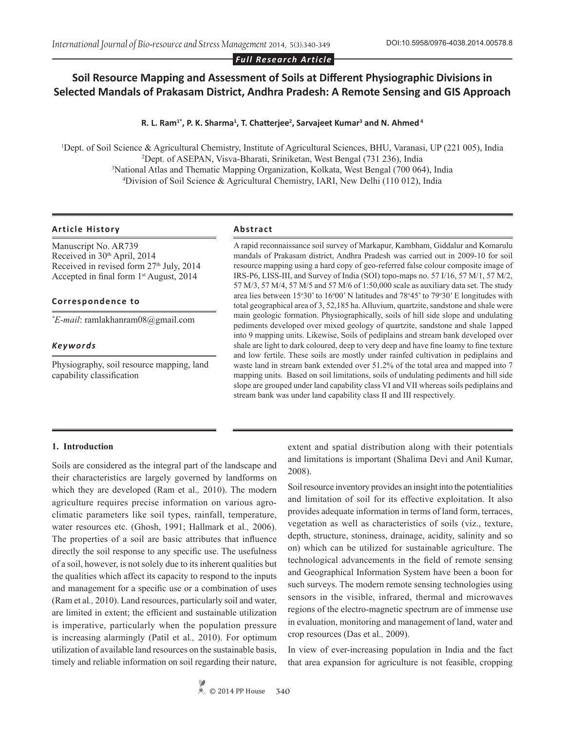*Full Research Article*

# **Soil Resource Mapping and Assessment of Soils at Different Physiographic Divisions in Selected Mandals of Prakasam District, Andhra Pradesh: A Remote Sensing and GIS Approach**

#### **R. L. Ram1\*, P. K. Sharma<sup>1</sup> , T. Chatterjee<sup>2</sup> , Sarvajeet Kumar<sup>3</sup> and N. Ahmed<sup>4</sup>**

<sup>1</sup>Dept. of Soil Science & Agricultural Chemistry, Institute of Agricultural Sciences, BHU, Varanasi, UP (221 005), India <sup>2</sup><br><sup>2</sup>Dept. of ASEPAN, Visya-Bharati, Sriniketan, West Bengal (731 236), India Dept. of ASEPAN, Visva-Bharati, Sriniketan, West Bengal (731 236), India 3 National Atlas and Thematic Mapping Organization, Kolkata, West Bengal (700 064), India 4 Division of Soil Science & Agricultural Chemistry, IARI, New Delhi (110 012), India

#### **Article History Abstract**

Manuscript No. AR739 Received in 30<sup>th</sup> April, 2014 Received in revised form 27<sup>th</sup> July, 2014 Accepted in final form 1st August, 2014

#### **Correspondence to**

*\* E-mail*: ramlakhanram08@gmail.com

### *Keywords*

Physiography, soil resource mapping, land capability classification

A rapid reconnaissance soil survey of Markapur, Kambham, Giddalur and Komarulu mandals of Prakasam district, Andhra Pradesh was carried out in 2009-10 for soil resource mapping using a hard copy of geo-referred false colour composite image of IRS-P6, LISS-III, and Survey of India (SOI) topo-maps no. 57 I/16, 57 M/1, 57 M/2, 57 M/3, 57 M/4, 57 M/5 and 57 M/6 of 1:50,000 scale as auxiliary data set. The study area lies between  $15°30'$  to  $16°00'$  N latitudes and  $78°45'$  to  $79°30'$  E longitudes with total geographical area of 3, 52,185 ha. Alluvium, quartzite, sandstone and shale were main geologic formation. Physiographically, soils of hill side slope and undulating pediments developed over mixed geology of quartzite, sandstone and shale 1apped into 9 mapping units. Likewise, Soils of pediplains and stream bank developed over shale are light to dark coloured, deep to very deep and have fine loamy to fine texture and low fertile. These soils are mostly under rainfed cultivation in pediplains and waste land in stream bank extended over 51.2% of the total area and mapped into 7 mapping units. Based on soil limitations, soils of undulating pediments and hill side slope are grouped under land capability class VI and VII whereas soils pediplains and stream bank was under land capability class II and III respectively.

#### **1. Introduction**

Soils are considered as the integral part of the landscape and their characteristics are largely governed by landforms on which they are developed (Ram et al.*,* 2010). The modern agriculture requires precise information on various agroclimatic parameters like soil types, rainfall, temperature, water resources etc. (Ghosh, 1991; Hallmark et al*.,* 2006). The properties of a soil are basic attributes that influence directly the soil response to any specific use. The usefulness of a soil, however, is not solely due to its inherent qualities but the qualities which affect its capacity to respond to the inputs and management for a specific use or a combination of uses (Ram et al*.,* 2010). Land resources, particularly soil and water, are limited in extent; the efficient and sustainable utilization is imperative, particularly when the population pressure is increasing alarmingly (Patil et al*.,* 2010). For optimum utilization of available land resources on the sustainable basis, timely and reliable information on soil regarding their nature,

extent and spatial distribution along with their potentials and limitations is important (Shalima Devi and Anil Kumar, 2008).

Soil resource inventory provides an insight into the potentialities and limitation of soil for its effective exploitation. It also provides adequate information in terms of land form, terraces, vegetation as well as characteristics of soils (viz., texture, depth, structure, stoniness, drainage, acidity, salinity and so on) which can be utilized for sustainable agriculture. The technological advancements in the field of remote sensing and Geographical Information System have been a boon for such surveys. The modern remote sensing technologies using sensors in the visible, infrared, thermal and microwaves regions of the electro-magnetic spectrum are of immense use in evaluation, monitoring and management of land, water and crop resources (Das et al*.,* 2009).

In view of ever-increasing population in India and the fact that area expansion for agriculture is not feasible, cropping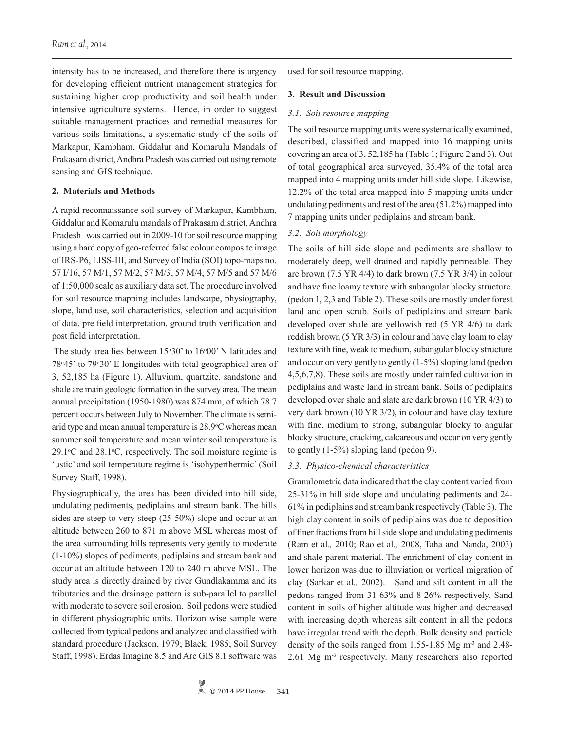intensity has to be increased, and therefore there is urgency for developing efficient nutrient management strategies for sustaining higher crop productivity and soil health under intensive agriculture systems. Hence, in order to suggest suitable management practices and remedial measures for various soils limitations, a systematic study of the soils of Markapur, Kambham, Giddalur and Komarulu Mandals of Prakasam district, Andhra Pradesh was carried out using remote sensing and GIS technique.

#### **2. Materials and Methods**

A rapid reconnaissance soil survey of Markapur, Kambham, Giddalur and Komarulu mandals of Prakasam district, Andhra Pradesh was carried out in 2009-10 for soil resource mapping using a hard copy of geo-referred false colour composite image of IRS-P6, LISS-III, and Survey of India (SOI) topo-maps no. 57 I/16, 57 M/1, 57 M/2, 57 M/3, 57 M/4, 57 M/5 and 57 M/6 of 1:50,000 scale as auxiliary data set. The procedure involved for soil resource mapping includes landscape, physiography, slope, land use, soil characteristics, selection and acquisition of data, pre field interpretation, ground truth verification and post field interpretation.

The study area lies between  $15°30'$  to  $16°00'$  N latitudes and 78°45' to 79°30' E longitudes with total geographical area of 3, 52,185 ha (Figure 1). Alluvium, quartzite, sandstone and shale are main geologic formation in the survey area. The mean annual precipitation (1950-1980) was 874 mm, of which 78.7 percent occurs between July to November. The climate is semiarid type and mean annual temperature is 28.9°C whereas mean summer soil temperature and mean winter soil temperature is  $29.1^{\circ}$ C and  $28.1^{\circ}$ C, respectively. The soil moisture regime is 'ustic' and soil temperature regime is 'isohyperthermic' (Soil Survey Staff, 1998).

Physiographically, the area has been divided into hill side, undulating pediments, pediplains and stream bank. The hills sides are steep to very steep (25-50%) slope and occur at an altitude between 260 to 871 m above MSL whereas most of the area surrounding hills represents very gently to moderate (1-10%) slopes of pediments, pediplains and stream bank and occur at an altitude between 120 to 240 m above MSL. The study area is directly drained by river Gundlakamma and its tributaries and the drainage pattern is sub-parallel to parallel with moderate to severe soil erosion. Soil pedons were studied in different physiographic units. Horizon wise sample were collected from typical pedons and analyzed and classified with standard procedure (Jackson, 1979; Black, 1985; Soil Survey Staff, 1998). Erdas Imagine 8.5 and Arc GIS 8.1 software was

used for soil resource mapping.

#### **3. Result and Discussion**

#### *3.1. Soil resource mapping*

The soil resource mapping units were systematically examined, described, classified and mapped into 16 mapping units covering an area of 3, 52,185 ha (Table 1; Figure 2 and 3). Out of total geographical area surveyed, 35.4% of the total area mapped into 4 mapping units under hill side slope. Likewise, 12.2% of the total area mapped into 5 mapping units under undulating pediments and rest of the area (51.2%) mapped into 7 mapping units under pediplains and stream bank.

#### *3.2. Soil morphology*

The soils of hill side slope and pediments are shallow to moderately deep, well drained and rapidly permeable. They are brown (7.5 YR 4/4) to dark brown (7.5 YR 3/4) in colour and have fine loamy texture with subangular blocky structure. (pedon 1, 2,3 and Table 2). These soils are mostly under forest land and open scrub. Soils of pediplains and stream bank developed over shale are yellowish red (5 YR 4/6) to dark reddish brown (5 YR 3/3) in colour and have clay loam to clay texture with fine, weak to medium, subangular blocky structure and occur on very gently to gently (1-5%) sloping land (pedon 4,5,6,7,8). These soils are mostly under rainfed cultivation in pediplains and waste land in stream bank. Soils of pediplains developed over shale and slate are dark brown (10 YR 4/3) to very dark brown (10 YR 3/2), in colour and have clay texture with fine, medium to strong, subangular blocky to angular blocky structure, cracking, calcareous and occur on very gently to gently (1-5%) sloping land (pedon 9).

#### *3.3. Physico-chemical characteristics*

Granulometric data indicated that the clay content varied from 25-31% in hill side slope and undulating pediments and 24- 61% in pediplains and stream bank respectively (Table 3). The high clay content in soils of pediplains was due to deposition of finer fractions from hill side slope and undulating pediments (Ram et al*.,* 2010; Rao et al*.,* 2008, Taha and Nanda, 2003) and shale parent material. The enrichment of clay content in lower horizon was due to illuviation or vertical migration of clay (Sarkar et al*.,* 2002). Sand and silt content in all the pedons ranged from 31-63% and 8-26% respectively. Sand content in soils of higher altitude was higher and decreased with increasing depth whereas silt content in all the pedons have irregular trend with the depth. Bulk density and particle density of the soils ranged from 1.55-1.85 Mg m<sup>-3</sup> and 2.48-2.61 Mg m-3 respectively. Many researchers also reported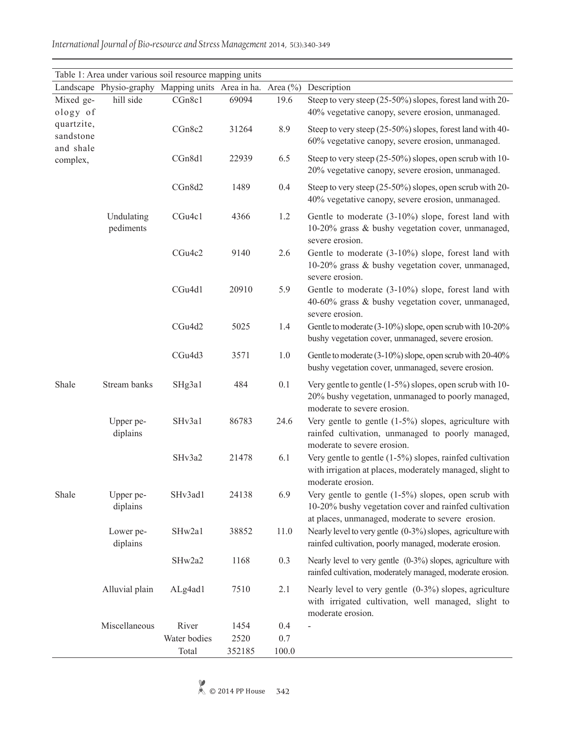| Table 1: Area under various soil resource mapping units |                         |                                                            |        |       |                                                                                                                                                                       |  |  |  |  |  |  |  |
|---------------------------------------------------------|-------------------------|------------------------------------------------------------|--------|-------|-----------------------------------------------------------------------------------------------------------------------------------------------------------------------|--|--|--|--|--|--|--|
|                                                         |                         | Landscape Physio-graphy Mapping units Area in ha. Area (%) |        |       | Description                                                                                                                                                           |  |  |  |  |  |  |  |
| Mixed ge-<br>ology of                                   | hill side               | CGn8c1                                                     | 69094  | 19.6  | Steep to very steep (25-50%) slopes, forest land with 20-<br>40% vegetative canopy, severe erosion, unmanaged.                                                        |  |  |  |  |  |  |  |
| quartzite,<br>sandstone<br>and shale                    |                         | CGn8c2                                                     | 31264  | 8.9   | Steep to very steep (25-50%) slopes, forest land with 40-<br>60% vegetative canopy, severe erosion, unmanaged.                                                        |  |  |  |  |  |  |  |
| complex,                                                |                         | CGn8d1                                                     | 22939  | 6.5   | Steep to very steep (25-50%) slopes, open scrub with 10-<br>20% vegetative canopy, severe erosion, unmanaged.                                                         |  |  |  |  |  |  |  |
|                                                         |                         | CGn8d2                                                     | 1489   | 0.4   | Steep to very steep (25-50%) slopes, open scrub with 20-<br>40% vegetative canopy, severe erosion, unmanaged.                                                         |  |  |  |  |  |  |  |
|                                                         | Undulating<br>pediments | CGu4c1                                                     | 4366   | 1.2   | Gentle to moderate (3-10%) slope, forest land with<br>10-20% grass & bushy vegetation cover, unmanaged,<br>severe erosion.                                            |  |  |  |  |  |  |  |
|                                                         |                         | CGu4c2                                                     | 9140   | 2.6   | Gentle to moderate (3-10%) slope, forest land with<br>10-20% grass & bushy vegetation cover, unmanaged,<br>severe erosion.                                            |  |  |  |  |  |  |  |
|                                                         |                         | CGu4d1                                                     | 20910  | 5.9   | Gentle to moderate (3-10%) slope, forest land with<br>40-60% grass & bushy vegetation cover, unmanaged,<br>severe erosion.                                            |  |  |  |  |  |  |  |
|                                                         |                         | CGu4d2                                                     | 5025   | 1.4   | Gentle to moderate (3-10%) slope, open scrub with 10-20%<br>bushy vegetation cover, unmanaged, severe erosion.                                                        |  |  |  |  |  |  |  |
|                                                         |                         | CGu4d3                                                     | 3571   | 1.0   | Gentle to moderate (3-10%) slope, open scrub with 20-40%<br>bushy vegetation cover, unmanaged, severe erosion.                                                        |  |  |  |  |  |  |  |
| Shale                                                   | Stream banks            | SHg3a1                                                     | 484    | 0.1   | Very gentle to gentle $(1-5\%)$ slopes, open scrub with 10-<br>20% bushy vegetation, unmanaged to poorly managed,<br>moderate to severe erosion.                      |  |  |  |  |  |  |  |
|                                                         | Upper pe-<br>diplains   | SHv3a1                                                     | 86783  | 24.6  | Very gentle to gentle $(1-5%)$ slopes, agriculture with<br>rainfed cultivation, unmanaged to poorly managed,<br>moderate to severe erosion.                           |  |  |  |  |  |  |  |
|                                                         |                         | SHv3a2                                                     | 21478  | 6.1   | Very gentle to gentle $(1-5\%)$ slopes, rainfed cultivation<br>with irrigation at places, moderately managed, slight to<br>moderate erosion.                          |  |  |  |  |  |  |  |
| Shale                                                   | Upper pe-<br>diplains   | SHv3ad1                                                    | 24138  | 6.9   | Very gentle to gentle $(1-5\%)$ slopes, open scrub with<br>10-20% bushy vegetation cover and rainfed cultivation<br>at places, unmanaged, moderate to severe erosion. |  |  |  |  |  |  |  |
|                                                         | Lower pe-<br>diplains   | SHw2a1                                                     | 38852  | 11.0  | Nearly level to very gentle (0-3%) slopes, agriculture with<br>rainfed cultivation, poorly managed, moderate erosion.                                                 |  |  |  |  |  |  |  |
|                                                         |                         | SHw2a2                                                     | 1168   | 0.3   | Nearly level to very gentle $(0-3\%)$ slopes, agriculture with<br>rainfed cultivation, moderately managed, moderate erosion.                                          |  |  |  |  |  |  |  |
|                                                         | Alluvial plain          | ALg4ad1                                                    | 7510   | 2.1   | Nearly level to very gentle (0-3%) slopes, agriculture<br>with irrigated cultivation, well managed, slight to<br>moderate erosion.                                    |  |  |  |  |  |  |  |
|                                                         | Miscellaneous           | River                                                      | 1454   | 0.4   |                                                                                                                                                                       |  |  |  |  |  |  |  |
|                                                         |                         | Water bodies                                               | 2520   | 0.7   |                                                                                                                                                                       |  |  |  |  |  |  |  |
|                                                         |                         | Total                                                      | 352185 | 100.0 |                                                                                                                                                                       |  |  |  |  |  |  |  |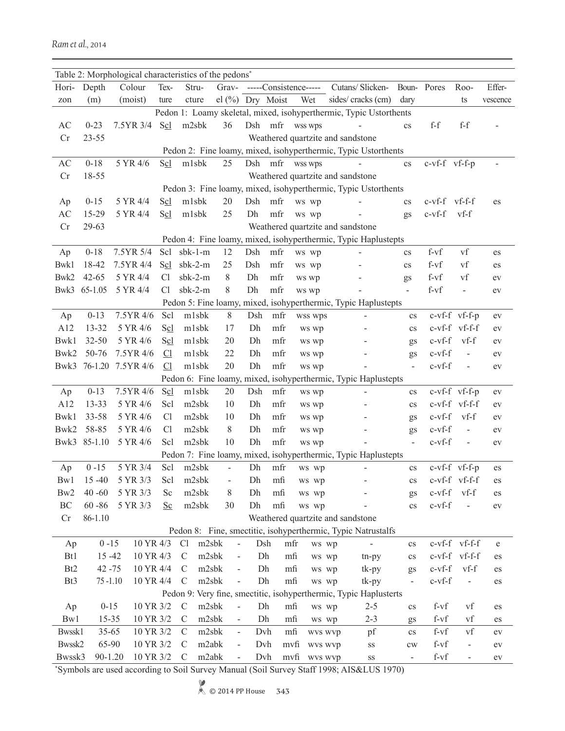|                     |             | Table 2: Morphological characteristics of the pedons <sup>*</sup> |                |                         |                          |     |                     |                 |                                                                    |                          |                        |                              |            |
|---------------------|-------------|-------------------------------------------------------------------|----------------|-------------------------|--------------------------|-----|---------------------|-----------------|--------------------------------------------------------------------|--------------------------|------------------------|------------------------------|------------|
| Hori-               | Depth       | Colour                                                            | Tex-           | Stru-                   |                          |     |                     |                 | Grav- -----Consistence----- Cutans/Slicken-                        |                          | Boun-Pores             | $Roo-$                       | Effer-     |
| zon                 | (m)         | (moist)                                                           | ture           | cture                   |                          |     | el $(\%)$ Dry Moist | Wet             | sides/cracks (cm)                                                  | dary                     |                        | ts                           | vescence   |
|                     |             |                                                                   |                |                         |                          |     |                     |                 | Pedon 1: Loamy skeletal, mixed, isohyperthermic, Typic Ustorthents |                          |                        |                              |            |
| AC                  | $0 - 23$    | 7.5YR 3/4                                                         | Scl            | m2sbk                   | 36                       |     |                     | Dsh mfr wss wps | $\sim$                                                             | $\mathbf{c}\mathbf{s}$   | $f-f$                  | $f-f$                        |            |
| Cr                  | $23 - 55$   |                                                                   |                |                         |                          |     |                     |                 | Weathered quartzite and sandstone                                  |                          |                        |                              |            |
|                     |             |                                                                   |                |                         |                          |     |                     |                 | Pedon 2: Fine loamy, mixed, isohyperthermic, Typic Ustorthents     |                          |                        |                              |            |
| AC                  | $0 - 18$    | 5 YR 4/6                                                          | Scl            | m1sbk                   | 25                       |     |                     | Dsh mfr wss wps |                                                                    | $\mathbf{c}\mathbf{s}$   | c-vf-f vf-f-p          |                              |            |
| Cr                  | 18-55       |                                                                   |                |                         |                          |     |                     |                 | Weathered quartzite and sandstone                                  |                          |                        |                              |            |
|                     |             |                                                                   |                |                         |                          |     |                     |                 | Pedon 3: Fine loamy, mixed, isohyperthermic, Typic Ustorthents     |                          |                        |                              |            |
| Ap                  | $0-15$      | 5 YR 4/4                                                          | Scl            | m1sbk                   | 20                       | Dsh | mfr                 | ws wp           |                                                                    | $\mathbf{c}_s$           | c-vf-f vf-f-f          |                              | es         |
| AC                  | 15-29       | 5 YR 4/4                                                          | Scl            | m1sbk                   | 25                       | Dh  | mfr                 | ws wp           |                                                                    | gs                       | $c-vf-f$               | vf-f                         |            |
| Cr                  | 29-63       |                                                                   |                |                         |                          |     |                     |                 | Weathered quartzite and sandstone                                  |                          |                        |                              |            |
|                     |             |                                                                   |                |                         |                          |     |                     |                 | Pedon 4: Fine loamy, mixed, isohyperthermic, Typic Haplustepts     |                          |                        |                              |            |
| Ap                  | $0-18$      | 7.5YR 5/4                                                         |                | Scl sbk-1-m             | 12                       | Dsh | mfr                 | ws wp           |                                                                    | $\mathbf{c}\mathbf{s}$   | f-vf                   | vf                           | es         |
| Bwk1                | 18-42       | 7.5YR 4/4                                                         |                | Scl sbk-2-m             | 25                       | Dsh | mfr                 | ws wp           |                                                                    | $\mathbf{c}\mathbf{s}$   | $f-vf$                 | vf                           | es         |
| Bwk2                | $42 - 65$   | 5 YR 4/4                                                          | Cl             | $sbk-2-m$               | $8\,$                    | Dh  | mfr                 | ws wp           |                                                                    | gs                       | f-vf                   | vf                           | ev         |
| Bwk3                | 65-1.05     | 5 YR 4/4                                                          | Cl             | sbk-2-m                 | $8\,$                    | Dh  | mfr                 | ws wp           |                                                                    | $\sim$                   | $f-vf$                 | $\qquad \qquad \blacksquare$ | ev         |
|                     |             |                                                                   |                |                         |                          |     |                     |                 | Pedon 5: Fine loamy, mixed, isohyperthermic, Typic Haplustepts     |                          |                        |                              |            |
| Ap                  | $0 - 13$    | 7.5YR 4/6                                                         | Scl            | mlsbk                   | 8                        | Dsh | mfr                 | wss wps         |                                                                    | $\mathbf{c}\mathbf{s}$   |                        | $c-vf-f vf-f-p$              | ev         |
| A12                 | $13 - 32$   | 5 YR 4/6                                                          | Scl            | mlsbk                   | 17                       | Dh  | mfr                 | ws wp           |                                                                    | $\rm{cs}$                |                        | c-vf-f vf-f-f                | ev         |
| Bwk1                | $32 - 50$   | 5 YR 4/6                                                          | Scl            | mlsbk                   | 20                       | Dh  | mfr                 | ws wp           |                                                                    | gs                       |                        | $c-vf-f$ $vf-f$              | ev         |
| Bwk2                | 50-76       | 7.5YR 4/6                                                         | C1             | mlsbk                   | 22                       | Dh  | mfr                 | ws wp           |                                                                    | gs                       | $c-vf-f$               | $\blacksquare$               | ev         |
| Bwk3                |             | 76-1.20 7.5YR 4/6                                                 | C1             | m1sbk                   | 20                       | Dh  | mfr                 | ws wp           |                                                                    | $\overline{\phantom{a}}$ | $c-vf-f$               | $\blacksquare$               | ev         |
|                     |             |                                                                   |                |                         |                          |     |                     |                 | Pedon 6: Fine loamy, mixed, isohyperthermic, Typic Haplustepts     |                          |                        |                              |            |
| Ap                  | $0 - 13$    | 7.5YR 4/6                                                         | Scl            | mlsbk                   | 20                       | Dsh | mfr                 | ws wp           |                                                                    | $\mathbf{c}\mathbf{s}$   |                        | $c-vf-f vf-f-p$              | ev         |
| A12                 | $13 - 33$   | 5 YR 4/6                                                          | Scl            | m2sbk                   | 10                       | Dh  | mfr                 | ws wp           |                                                                    | $\mathbf{c}\mathbf{s}$   |                        | $c-vf-f vf-f-f$              | ev         |
| Bwk1                | $33 - 58$   | 5 YR 4/6                                                          | Cl             | m2sbk                   | 10                       | Dh  | mfr                 | ws wp           |                                                                    | gs                       |                        | $c-vf-f$ $vf-f$              | ev         |
| Bwk2                | 58-85       | 5 YR 4/6                                                          | C <sub>1</sub> | m2sbk                   | 8                        | Dh  | mfr                 | ws wp           |                                                                    | gs                       | $c-vf-f$               | $\blacksquare$               | ev         |
| Bwk3                | 85-1.10     | 5 YR 4/6                                                          | Scl            | m2sbk                   | 10                       | Dh  | mfr                 | ws wp           |                                                                    | $\mathbf{r}$             | $c-vf-f$               | $\blacksquare$               | ev         |
|                     |             |                                                                   |                |                         |                          |     |                     |                 | Pedon 7: Fine loamy, mixed, isohyperthermic, Typic Haplustepts     |                          |                        |                              |            |
| Ap                  | $0 - 15$    | 5 YR 3/4                                                          | Scl            | m2sbk                   | $\blacksquare$           | Dh  | mfr                 | ws wp           | $\overline{\phantom{a}}$                                           | $\mathbf{c}\mathbf{s}$   |                        | $c-vf-f vf-f-p$              | es         |
|                     |             | Bwl 15-40 5 YR 3/3 Scl m2sbk                                      |                |                         |                          | Dh  | mfi                 | ws wp           |                                                                    |                          | $cs$ $c-vf-f$ $vf-f-f$ |                              | es         |
| Bw <sub>2</sub>     | $40 - 60$   | 5 YR 3/3                                                          | <sub>Sc</sub>  | m2sbk                   | 8                        | Dh  | mfi                 | ws wp           |                                                                    | gs                       |                        | $c-vf-f$ $vf-f$              | es         |
| $\operatorname{BC}$ | $60 - 86$   | 5 YR 3/3                                                          | $S_{\rm c}$    | m2sbk                   | 30                       | Dh  | mfi                 | ws wp           |                                                                    | $\mathbf{c}\mathbf{s}$   | $c-vf-f$               | $\overline{\phantom{a}}$     | ${\rm ev}$ |
| Cr                  | 86-1.10     |                                                                   |                |                         |                          |     |                     |                 | Weathered quartzite and sandstone                                  |                          |                        |                              |            |
|                     |             |                                                                   |                |                         |                          |     |                     |                 | Pedon 8: Fine, smectitic, isohyperthermic, Typic Natrustalfs       |                          |                        |                              |            |
| Ap                  | $0 - 15$    | 10 YR 4/3                                                         |                | m2sbk<br>C <sub>1</sub> |                          | Dsh |                     | mfr             | ws wp                                                              | $\mathbf{c}\mathbf{s}$   |                        | c-vf-f vf-f-f                | e          |
| Bt1                 | $15 - 42$   | 10 YR 4/3                                                         |                | m2sbk<br>$\mathcal{C}$  | $\overline{\phantom{a}}$ | Dh  |                     | mfi<br>ws wp    | tn-py                                                              | $\mathbf{c}\mathbf{s}$   |                        | c-vf-f vf-f-f                | es         |
| B <sub>t2</sub>     | $42 - 75$   | 10 YR 4/4                                                         |                | m2sbk<br>$\mathcal{C}$  | $\blacksquare$           | Dh  | mfi                 | ws wp           | tk-py                                                              | gs                       | $c-vf-f$               | vf-f                         | es         |
| Bt3                 | $75 - 1.10$ | 10 YR 4/4                                                         |                | m2sbk<br>$\mathcal{C}$  | $\mathbf{r}$             | Dh  | mfi                 | ws wp           | tk-py                                                              | $\overline{\phantom{a}}$ | $c-vf-f$               | $\bar{\phantom{a}}$          | es         |
|                     |             |                                                                   |                |                         |                          |     |                     |                 | Pedon 9: Very fine, smectitic, isohyperthermic, Typic Haplusterts  |                          |                        |                              |            |
| Ap                  | $0 - 15$    | 10 YR 3/2                                                         |                | m2sbk<br>$\mathcal{C}$  | $\Box$                   | Dh  | mfi                 | ws wp           | $2 - 5$                                                            | $\rm{c}\rm{s}$           | f-vf                   | vf                           | es         |
| Bw1                 | $15 - 35$   | 10 YR 3/2                                                         |                | m2sbk<br>$\mathcal{C}$  | $\blacksquare$           | Dh  | mfi                 | ws wp           | $2 - 3$                                                            | gs                       | f-vf                   | $\mathbf{v}$ f               | $\rm{es}$  |
| Bwssk1              | $35 - 65$   | 10 YR 3/2                                                         |                | m2sbk<br>C              | $\overline{\phantom{a}}$ | Dvh | mfi                 |                 | pf<br>wvs wvp                                                      | $\mathbf{c}\mathbf{s}$   | f-vf                   | ${\rm vf}$                   | ev         |
| Bwssk2              | 65-90       | 10 YR 3/2                                                         |                | m2abk<br>$\mathcal{C}$  | $\blacksquare$           | Dvh |                     | mvfi<br>wvs wvp | $_{\rm SS}$                                                        | cw                       | f-vf                   | $\overline{\phantom{0}}$     | ${\rm ev}$ |
| Bwssk3              | 90-1.20     | 10 YR 3/2                                                         |                | m2abk<br>$\mathcal{C}$  | $\overline{a}$           | Dvh |                     | mvfi<br>wys wyp | $\rm SS$                                                           | $\Box$                   | f-vf                   | $\overline{\phantom{a}}$     | ${\rm ev}$ |

\* Symbols are used according to Soil Survey Manual (Soil Survey Staff 1998; AIS&LUS 1970)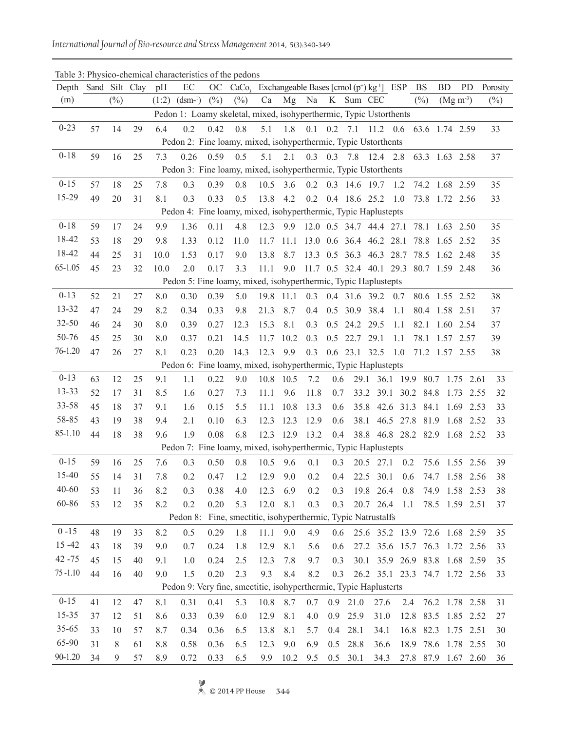# *International Journal of Bio-resource and Stress Management* 2014, 5(3):340-349

|                                                                |    |        |    |         | Table 3: Physico-chemical characteristics of the pedons            |        |            |                 |      |      |                           |                                                               |                     |      |        |                               |             |                                                  |
|----------------------------------------------------------------|----|--------|----|---------|--------------------------------------------------------------------|--------|------------|-----------------|------|------|---------------------------|---------------------------------------------------------------|---------------------|------|--------|-------------------------------|-------------|--------------------------------------------------|
| Depth Sand Silt Clay                                           |    |        |    | pH      | EC                                                                 | OC     |            |                 |      |      |                           | CaCo, Exchangeable Bases [cmol $(p^+)$ kg <sup>-1</sup> ] ESP |                     |      | BS     | <b>BD</b>                     | <b>PD</b>   | Porosity                                         |
| (m)                                                            |    | $(\%)$ |    | (1:2)   | $(dsm-1)$                                                          | $(\%)$ | $(\%)$     | Ca              | Mg   | Na   |                           | K Sum CEC                                                     |                     |      | $(\%)$ |                               | $(Mg\ m^3)$ | $(\%)$                                           |
|                                                                |    |        |    |         | Pedon 1: Loamy skeletal, mixed, isohyperthermic, Typic Ustorthents |        |            |                 |      |      |                           |                                                               |                     |      |        |                               |             |                                                  |
| $0 - 23$                                                       | 57 | 14     | 29 | 6.4     | 0.2                                                                | 0.42   | 0.8        | 5.1             | 1.8  |      | $0.1 \quad 0.2 \quad 7.1$ |                                                               |                     |      |        | 11.2 0.6 63.6 1.74 2.59       |             | 33                                               |
|                                                                |    |        |    |         | Pedon 2: Fine loamy, mixed, isohyperthermic, Typic Ustorthents     |        |            |                 |      |      |                           |                                                               |                     |      |        |                               |             |                                                  |
| $0 - 18$                                                       | 59 | 16     | 25 | 7.3     | 0.26                                                               | 0.59   | 0.5        | 5.1             | 2.1  |      |                           | 0.3 0.3 7.8 12.4 2.8                                          |                     |      |        | 63.3 1.63 2.58                |             | 37                                               |
|                                                                |    |        |    |         | Pedon 3: Fine loamy, mixed, isohyperthermic, Typic Ustorthents     |        |            |                 |      |      |                           |                                                               |                     |      |        |                               |             |                                                  |
| $0 - 15$                                                       | 57 | 18     | 25 | 7.8     | 0.3                                                                | 0.39   | 0.8        | 10.5            | 3.6  | 0.2  |                           | 0.3 14.6 19.7 1.2                                             |                     |      |        | 74.2 1.68 2.59                |             | 35                                               |
| 15-29                                                          | 49 | 20     | 31 | 8.1     | 0.3                                                                | 0.33   | 0.5        | 13.8            | 4.2  | 0.2  |                           | 0.4 18.6 25.2                                                 |                     | 1.0  |        | 73.8 1.72 2.56                |             | 33                                               |
|                                                                |    |        |    |         | Pedon 4: Fine loamy, mixed, isohyperthermic, Typic Haplustepts     |        |            |                 |      |      |                           |                                                               |                     |      |        |                               |             |                                                  |
| $0 - 18$                                                       | 59 | 17     | 24 | 9.9     | 1.36                                                               | 0.11   | 4.8        | 12.3            | 9.9  |      |                           | $12.0 \t0.5 \t34.7 \t44.4 \t27.1$                             |                     |      |        | 78.1 1.63 2.50                |             | 35                                               |
| 18-42                                                          | 53 | 18     | 29 | 9.8     | 1.33                                                               | 0.12   | 11.0       | 11.7            | 11.1 |      |                           | 13.0 0.6 36.4 46.2 28.1                                       |                     |      |        | 78.8 1.65                     | 2.52        | 35                                               |
| 18-42                                                          | 44 | 25     | 31 | 10.0    | 1.53                                                               | 0.17   | 9.0        | 13.8            | 8.7  |      |                           | 13.3 0.5 36.3 46.3 28.7                                       |                     |      |        | 78.5 1.62 2.48                |             | 35                                               |
| 65-1.05                                                        | 45 | 23     | 32 | 10.0    | 2.0                                                                | 0.17   | 3.3        | 11.1            | 9.0  |      |                           | 11.7 0.5 32.4 40.1 29.3 80.7 1.59 2.48                        |                     |      |        |                               |             | 36                                               |
|                                                                |    |        |    |         | Pedon 5: Fine loamy, mixed, isohyperthermic, Typic Haplustepts     |        |            |                 |      |      |                           |                                                               |                     |      |        |                               |             |                                                  |
| $0 - 13$                                                       | 52 | 21     | 27 | 8.0     | 0.30                                                               | 0.39   | 5.0        | 19.8 11.1       |      | 0.3  |                           | $0.4$ 31.6 39.2 0.7                                           |                     |      |        | 80.6 1.55 2.52                |             | 38                                               |
| 13-32                                                          | 47 | 24     | 29 | 8.2     | 0.34                                                               | 0.33   | 9.8        | 21.3            | 8.7  | 0.4  |                           | 0.5 30.9 38.4                                                 |                     | 1.1  |        | 80.4 1.58 2.51                |             | 37                                               |
| $32 - 50$                                                      | 46 | 24     | 30 | 8.0     | 0.39                                                               | 0.27   | 12.3       | 15.3            | 8.1  | 0.3  | 0.5                       | 24.2 29.5                                                     |                     | 1.1  |        | 82.1 1.60 2.54                |             | 37                                               |
| 50-76                                                          | 45 | 25     | 30 | 8.0     | 0.37                                                               | 0.21   | 14.5       | 11.7 10.2       |      | 0.3  |                           | $0.5$ 22.7 29.1                                               |                     | 1.1  |        | 78.1 1.57 2.57                |             | 39                                               |
| 76-1.20                                                        | 47 | 26     | 27 | 8.1     | 0.23                                                               | 0.20   | 14.3       | 12.3            | 9.9  | 0.3  |                           | 0.6 23.1 32.5                                                 |                     | 1.0  |        | 71.2 1.57 2.55                |             | 38                                               |
| Pedon 6: Fine loamy, mixed, isohyperthermic, Typic Haplustepts |    |        |    |         |                                                                    |        |            |                 |      |      |                           |                                                               |                     |      |        |                               |             |                                                  |
| $0-13$                                                         | 63 | 12     | 25 | 9.1     | 1.1                                                                | 0.22   | 9.0        | 10.8            | 10.5 | 7.2  | 0.6                       |                                                               |                     |      |        | 29.1 36.1 19.9 80.7 1.75 2.61 |             | 33                                               |
| 13-33                                                          | 52 | 17     | 31 | 8.5     | 1.6                                                                | 0.27   | 7.3        | 11.1            | 9.6  | 11.8 | 0.7                       |                                                               | 33.2 39.1 30.2 84.8 |      |        |                               | 1.73 2.55   | 32                                               |
| 33-58                                                          | 45 | 18     | 37 | 9.1     | 1.6                                                                | 0.15   | 5.5        | 11.1            | 10.8 | 13.3 | 0.6                       | 35.8                                                          | 42.6                | 31.3 | 84.1   | 1.69                          |             | 33<br>2.53                                       |
| 58-85                                                          | 43 | 19     | 38 | 9.4     | 2.1                                                                | 0.10   | 6.3        | 12.3            | 12.3 | 12.9 | 0.6                       | 38.1                                                          | 46.5                |      |        | 27.8 81.9 1.68 2.52           |             | 33                                               |
| 85-1.10                                                        | 44 | 18     | 38 | 9.6     | 1.9                                                                | 0.08   | 6.8        | 12.3 12.9       |      | 13.2 | 0.4                       |                                                               |                     |      |        | 38.8 46.8 28.2 82.9 1.68 2.52 |             | 33                                               |
|                                                                |    |        |    |         | Pedon 7: Fine loamy, mixed, isohyperthermic, Typic Haplustepts     |        |            |                 |      |      |                           |                                                               |                     |      |        |                               |             |                                                  |
| $0 - 15$                                                       | 59 | 16     | 25 | 7.6     | 0.3                                                                | 0.50   | 0.8        | 10.5            | 9.6  | 0.1  | 0.3                       |                                                               | 20.5 27.1 0.2       |      |        | 75.6 1.55 2.56                |             | 39                                               |
| 15-40                                                          | 55 | 14     | 31 | 7.8     | 0.2                                                                |        | $0.47$ 1.2 |                 |      |      |                           |                                                               |                     |      |        |                               |             | 12.9 9.0 0.2 0.4 22.5 30.1 0.6 74.7 1.58 2.56 38 |
| $40 - 60$                                                      | 53 | 11     | 36 | 8.2     | 0.3                                                                | 0.38   | 4.0        | $12.3\quad 6.9$ |      | 0.2  | 0.3                       |                                                               | 19.8 26.4 0.8       |      |        | 74.9 1.58 2.53                |             | 38                                               |
| 60-86                                                          | 53 | 12     | 35 | 8.2     | 0.2                                                                | 0.20   | 5.3        | 12.0            | 8.1  | 0.3  | 0.3                       |                                                               | 20.7 26.4           | 1.1  |        | 78.5 1.59 2.51                |             | 37                                               |
|                                                                |    |        |    |         | Pedon 8: Fine, smectitic, isohyperthermic, Typic Natrustalfs       |        |            |                 |      |      |                           |                                                               |                     |      |        |                               |             |                                                  |
| $0 - 15$                                                       | 48 | 19     | 33 | 8.2     | 0.5                                                                | 0.29   | 1.8        | 11.1            | 9.0  | 4.9  | 0.6                       |                                                               |                     |      |        | 25.6 35.2 13.9 72.6 1.68 2.59 |             | 35                                               |
| $15 - 42$                                                      | 43 | 18     | 39 | 9.0     | 0.7                                                                | 0.24   | 1.8        | 12.9            | 8.1  | 5.6  | 0.6                       |                                                               |                     |      |        | 27.2 35.6 15.7 76.3 1.72 2.56 |             | 33                                               |
| $42 - 75$<br>$75 - 1.10$                                       | 45 | 15     | 40 | 9.1     | 1.0                                                                | 0.24   | 2.5        | 12.3            | 7.8  | 9.7  | 0.3                       |                                                               |                     |      |        | 30.1 35.9 26.9 83.8 1.68 2.59 |             | 35                                               |
|                                                                | 44 | 16     | 40 | 9.0     | 1.5                                                                | 0.20   | 2.3        | 9.3             | 8.4  | 8.2  | 0.3                       |                                                               |                     |      |        | 26.2 35.1 23.3 74.7 1.72 2.56 |             | 33                                               |
| $0 - 15$                                                       |    |        |    |         | Pedon 9: Very fine, smectitic, isohyperthermic, Typic Haplusterts  |        |            |                 |      |      |                           |                                                               |                     |      |        |                               |             |                                                  |
| 15-35                                                          | 41 | 12     | 47 | 8.1     | 0.31                                                               | 0.41   | 5.3        | 10.8            | 8.7  | 0.7  |                           | $0.9$ 21.0                                                    | 27.6                |      |        | 2.4 76.2 1.78 2.58            |             | 31                                               |
| $35 - 65$                                                      | 37 | 12     | 51 | 8.6     | 0.33                                                               | 0.39   | 6.0        | 12.9            | 8.1  | 4.0  | 0.9                       | 25.9                                                          | 31.0                |      |        | 12.8 83.5 1.85 2.52           |             | 27                                               |
| 65-90                                                          | 33 | 10     | 57 | 8.7     | 0.34                                                               | 0.36   | 6.5        | 13.8            | 8.1  | 5.7  | 0.4                       | 28.1                                                          | 34.1                |      |        | 16.8 82.3 1.75 2.51           |             | 30                                               |
| 90-1.20                                                        | 31 | $8\,$  | 61 | $8.8\,$ | 0.58                                                               | 0.36   | 6.5        | 12.3            | 9.0  | 6.9  | 0.5                       | 28.8                                                          | 36.6                |      |        | 18.9 78.6 1.78 2.55           |             | 30                                               |
|                                                                | 34 | 9      | 57 | 8.9     | 0.72                                                               | 0.33   | 6.5        | 9.9             | 10.2 | 9.5  |                           | 0.5 30.1                                                      | 34.3                |      |        | 27.8 87.9 1.67 2.60           |             | 36                                               |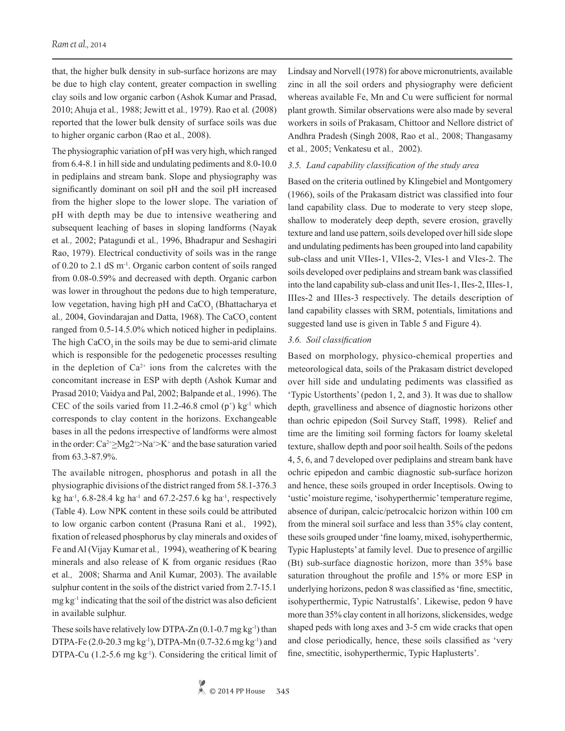that, the higher bulk density in sub-surface horizons are may be due to high clay content, greater compaction in swelling clay soils and low organic carbon (Ashok Kumar and Prasad, 2010; Ahuja et al*.,* 1988; Jewitt et al*.,* 1979). Rao et al*.* (2008) reported that the lower bulk density of surface soils was due to higher organic carbon (Rao et al*.,* 2008).

The physiographic variation of pH was very high, which ranged from 6.4-8.1 in hill side and undulating pediments and 8.0-10.0 in pediplains and stream bank. Slope and physiography was significantly dominant on soil pH and the soil pH increased from the higher slope to the lower slope. The variation of pH with depth may be due to intensive weathering and subsequent leaching of bases in sloping landforms (Nayak et al*.,* 2002; Patagundi et al*.,* 1996, Bhadrapur and Seshagiri Rao, 1979). Electrical conductivity of soils was in the range of 0.20 to 2.1 dS m-1. Organic carbon content of soils ranged from 0.08-0.59% and decreased with depth. Organic carbon was lower in throughout the pedons due to high temperature, low vegetation, having high pH and CaCO<sub>3</sub> (Bhattacharya et al., 2004, Govindarajan and Datta, 1968). The CaCO<sub>2</sub> content ranged from 0.5-14.5.0% which noticed higher in pediplains. The high CaCO<sub>2</sub> in the soils may be due to semi-arid climate which is responsible for the pedogenetic processes resulting in the depletion of  $Ca^{2+}$  ions from the calcretes with the concomitant increase in ESP with depth (Ashok Kumar and Prasad 2010; Vaidya and Pal, 2002; Balpande et al*.,* 1996). The CEC of the soils varied from 11.2-46.8 cmol  $(p^+)$  kg<sup>-1</sup> which corresponds to clay content in the horizons. Exchangeable bases in all the pedons irrespective of landforms were almost in the order:  $Ca^{2+} \geq Mg2^+ \geq Na^+ \geq K^+$  and the base saturation varied from 63.3-87.9%.

The available nitrogen, phosphorus and potash in all the physiographic divisions of the district ranged from 58.1-376.3 kg ha<sup>-1</sup>, 6.8-28.4 kg ha<sup>-1</sup> and 67.2-257.6 kg ha<sup>-1</sup>, respectively (Table 4). Low NPK content in these soils could be attributed to low organic carbon content (Prasuna Rani et al*.,* 1992), fixation of released phosphorus by clay minerals and oxides of Fe and Al (Vijay Kumar et al*.,* 1994), weathering of K bearing minerals and also release of K from organic residues (Rao et al*.,* 2008; Sharma and Anil Kumar, 2003). The available sulphur content in the soils of the district varied from 2.7-15.1 mg kg-1 indicating that the soil of the district was also deficient in available sulphur.

These soils have relatively low DTPA-Zn  $(0.1-0.7 \text{ mg kg}^{-1})$  than DTPA-Fe (2.0-20.3 mg kg<sup>-1</sup>), DTPA-Mn (0.7-32.6 mg kg<sup>-1</sup>) and DTPA-Cu (1.2-5.6 mg kg<sup>-1</sup>). Considering the critical limit of Lindsay and Norvell (1978) for above micronutrients, available zinc in all the soil orders and physiography were deficient whereas available Fe, Mn and Cu were sufficient for normal plant growth. Similar observations were also made by several workers in soils of Prakasam, Chittoor and Nellore district of Andhra Pradesh (Singh 2008, Rao et al*.,* 2008; Thangasamy et al*.,* 2005; Venkatesu et al*.,* 2002).

### *3.5. Land capability classification of the study area*

Based on the criteria outlined by Klingebiel and Montgomery (1966), soils of the Prakasam district was classified into four land capability class. Due to moderate to very steep slope, shallow to moderately deep depth, severe erosion, gravelly texture and land use pattern, soils developed over hill side slope and undulating pediments has been grouped into land capability sub-class and unit VIIes-1, VIIes-2, VIes-1 and VIes-2. The soils developed over pediplains and stream bank was classified into the land capability sub-class and unit IIes-1, IIes-2, IIIes-1, IIIes-2 and IIIes-3 respectively. The details description of land capability classes with SRM, potentials, limitations and suggested land use is given in Table 5 and Figure 4).

### *3.6. Soil classification*

Based on morphology, physico-chemical properties and meteorological data, soils of the Prakasam district developed over hill side and undulating pediments was classified as 'Typic Ustorthents' (pedon 1, 2, and 3). It was due to shallow depth, gravelliness and absence of diagnostic horizons other than ochric epipedon (Soil Survey Staff, 1998). Relief and time are the limiting soil forming factors for loamy skeletal texture, shallow depth and poor soil health. Soils of the pedons 4, 5, 6, and 7 developed over pediplains and stream bank have ochric epipedon and cambic diagnostic sub-surface horizon and hence, these soils grouped in order Inceptisols. Owing to 'ustic' moisture regime, 'isohyperthermic' temperature regime, absence of duripan, calcic/petrocalcic horizon within 100 cm from the mineral soil surface and less than 35% clay content, these soils grouped under 'fine loamy, mixed, isohyperthermic, Typic Haplustepts' at family level. Due to presence of argillic (Bt) sub-surface diagnostic horizon, more than 35% base saturation throughout the profile and 15% or more ESP in underlying horizons, pedon 8 was classified as 'fine, smectitic, isohyperthermic, Typic Natrustalfs'. Likewise, pedon 9 have more than 35% clay content in all horizons, slickensides, wedge shaped peds with long axes and 3-5 cm wide cracks that open and close periodically, hence, these soils classified as 'very fine, smectitic, isohyperthermic, Typic Haplusterts'.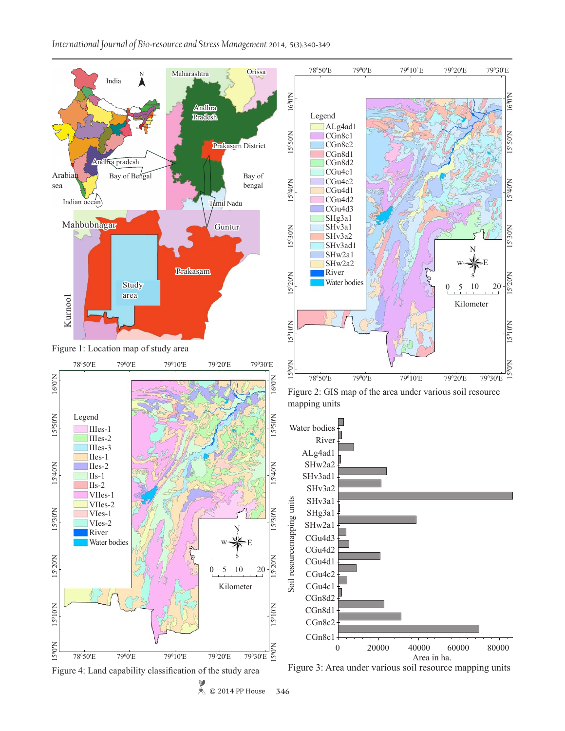

 $\bigotimes$  © 2014 PP House **346**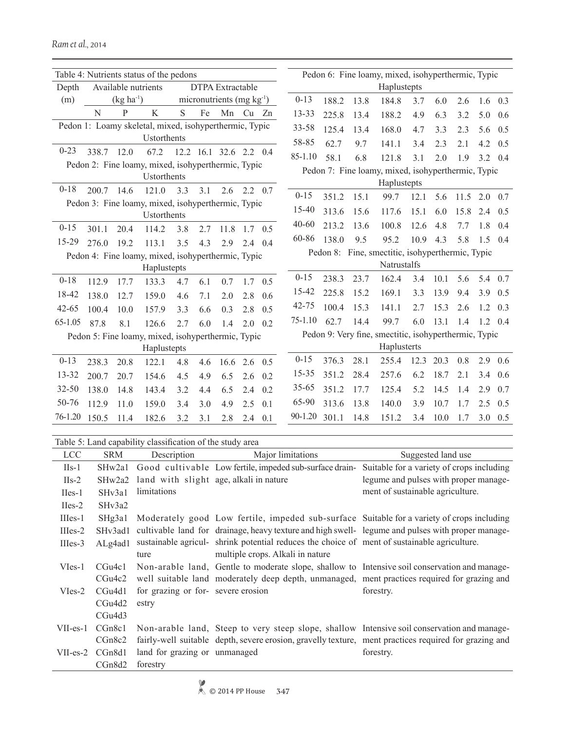| Table 4: Nutrients status of the pedons                           |             |                                                                                                                |                                                       |             |     |                         |                                                  |                 | Pedon 6: Fine loamy, mixed, isohyperthermic, Typic                                               |             |      |                                                    |                    |      |            |     |     |  |  |
|-------------------------------------------------------------------|-------------|----------------------------------------------------------------------------------------------------------------|-------------------------------------------------------|-------------|-----|-------------------------|--------------------------------------------------|-----------------|--------------------------------------------------------------------------------------------------|-------------|------|----------------------------------------------------|--------------------|------|------------|-----|-----|--|--|
| Depth                                                             |             |                                                                                                                | Available nutrients                                   |             |     | <b>DTPA</b> Extractable |                                                  |                 |                                                                                                  |             |      | Haplustepts                                        |                    |      |            |     |     |  |  |
| (m)                                                               |             | micronutrients (mg $kg^{-1}$ )<br>$(kg ha^{-1})$                                                               |                                                       |             |     |                         |                                                  |                 | $0 - 13$                                                                                         | 188.2       | 13.8 | 184.8                                              | 3.7                | 6.0  | 2.6        | 1.6 | 0.3 |  |  |
|                                                                   | N           | $\mathbf{P}$                                                                                                   | K                                                     | S           | Fe  |                         | Mn Cu Zn                                         |                 | 13-33                                                                                            | 225.8       | 13.4 | 188.2                                              | 4.9                | 6.3  | 3.2        | 5.0 | 0.6 |  |  |
| Pedon 1: Loamy skeletal, mixed, isohyperthermic, Typic            |             |                                                                                                                |                                                       |             |     |                         |                                                  |                 | 33-58                                                                                            | 125.4       | 13.4 | 168.0                                              | 4.7                | 3.3  | 2.3        | 5.6 | 0.5 |  |  |
|                                                                   | Ustorthents |                                                                                                                |                                                       |             |     |                         |                                                  |                 |                                                                                                  | 62.7        | 9.7  | 141.1                                              | 3.4                | 2.3  | 2.1        | 4.2 | 0.5 |  |  |
| $0 - 23$                                                          | 338.7       | 12.0                                                                                                           | 67.2                                                  |             |     | 12.2 16.1 32.6 2.2 0.4  |                                                  |                 | 85-1.10                                                                                          | 58.1        | 6.8  | 121.8                                              | 3.1                | 2.0  | 1.9        | 3.2 | 0.4 |  |  |
| Pedon 2: Fine loamy, mixed, isohyperthermic, Typic                |             |                                                                                                                |                                                       |             |     |                         |                                                  |                 |                                                                                                  |             |      | Pedon 7: Fine loamy, mixed, isohyperthermic, Typic |                    |      |            |     |     |  |  |
| Ustorthents                                                       |             |                                                                                                                |                                                       |             |     |                         |                                                  |                 |                                                                                                  |             |      | Haplustepts                                        |                    |      |            |     |     |  |  |
| $0 - 18$                                                          | 200.7       | 14.6                                                                                                           | 121.0                                                 | 3.3         | 3.1 | 2.6                     | 2.2                                              | 0.7             | $0 - 15$                                                                                         | 351.2       | 15.1 | 99.7                                               | 12.1               | 5.6  | $11.5$ 2.0 |     | 0.7 |  |  |
| Pedon 3: Fine loamy, mixed, isohyperthermic, Typic<br>Ustorthents |             |                                                                                                                |                                                       |             |     |                         | 15-40                                            | 313.6           | 15.6                                                                                             | 117.6       | 15.1 | 6.0                                                | 15.8               | 2.4  | 0.5        |     |     |  |  |
| $0 - 15$                                                          | 301.1       | 20.4                                                                                                           | 114.2                                                 | 3.8         | 2.7 | 11.8                    | 1.7                                              | 0.5             | $40 - 60$                                                                                        | 213.2       | 13.6 | 100.8                                              | 12.6               | 4.8  | 7.7        | 1.8 | 0.4 |  |  |
| 15-29                                                             | 276.0       | 19.2                                                                                                           | 113.1                                                 | 3.5         | 4.3 | 2.9                     |                                                  | $2.4$ 0.4       | 60-86                                                                                            | 138.0       | 9.5  | 95.2                                               | 10.9               | 4.3  | 5.8        | 1.5 | 0.4 |  |  |
|                                                                   |             |                                                                                                                |                                                       |             |     |                         | Pedon 8: Fine, smectitic, isohyperthermic, Typic |                 |                                                                                                  |             |      |                                                    |                    |      |            |     |     |  |  |
| Pedon 4: Fine loamy, mixed, isohyperthermic, Typic<br>Haplustepts |             |                                                                                                                |                                                       |             |     |                         |                                                  |                 |                                                                                                  | Natrustalfs |      |                                                    |                    |      |            |     |     |  |  |
| $0 - 18$                                                          | 112.9       | 17.7                                                                                                           | 133.3                                                 | 4.7         | 6.1 | 0.7                     | 1.7                                              | 0.5             | $0 - 15$                                                                                         | 238.3       | 23.7 | 162.4                                              | 3.4                | 10.1 | 5.6        | 5.4 | 0.7 |  |  |
| 18-42                                                             | 138.0       | 12.7                                                                                                           | 159.0                                                 | 4.6         | 7.1 | 2.0                     | 2.8                                              | 0.6             | 15-42                                                                                            | 225.8       | 15.2 | 169.1                                              | 3.3                | 13.9 | 9.4        | 3.9 | 0.5 |  |  |
| $42 - 65$                                                         | 100.4       | 10.0                                                                                                           | 157.9                                                 | 3.3         | 6.6 | 0.3                     | 2.8                                              | 0.5             | 42-75                                                                                            | 100.4       | 15.3 | 141.1                                              | 2.7                | 15.3 | 2.6        | 1.2 | 0.3 |  |  |
| 65-1.05                                                           | 87.8        | 8.1                                                                                                            | 126.6                                                 | 2.7         | 6.0 | 1.4                     |                                                  | $2.0 \quad 0.2$ | 75-1.10                                                                                          | 62.7        | 14.4 | 99.7                                               | 6.0                | 13.1 | 1.4        | 1.2 | 0.4 |  |  |
|                                                                   |             |                                                                                                                | Pedon 5: Fine loamy, mixed, isohyperthermic, Typic    |             |     |                         |                                                  |                 | Pedon 9: Very fine, smectitic, isohyperthermic, Typic                                            |             |      |                                                    |                    |      |            |     |     |  |  |
|                                                                   |             |                                                                                                                | Haplustepts                                           |             |     |                         |                                                  |                 |                                                                                                  |             |      | Haplusterts                                        |                    |      |            |     |     |  |  |
| $0-13$                                                            | 238.3       | 20.8                                                                                                           | 122.1                                                 | 4.8         | 4.6 | 16.6                    | 2.6                                              | 0.5             | $0 - 15$                                                                                         | 376.3       | 28.1 | 255.4                                              | 12.3 20.3          |      | 0.8        | 2.9 | 0.6 |  |  |
| 13-32                                                             | 200.7       | 20.7                                                                                                           | 154.6                                                 | 4.5         | 4.9 | 6.5                     | 2.6                                              | 0.2             | 15-35                                                                                            | 351.2       | 28.4 | 257.6                                              | 6.2                | 18.7 | 2.1        | 3.4 | 0.6 |  |  |
| 32-50                                                             | 138.0       | 14.8                                                                                                           | 143.4                                                 | 3.2         | 4.4 | 6.5                     | 2.4                                              | 0.2             | $35 - 65$                                                                                        | 351.2       | 17.7 | 125.4                                              | 5.2                | 14.5 | 1.4        | 2.9 | 0.7 |  |  |
| 50-76                                                             | 112.9       | 11.0                                                                                                           | 159.0                                                 | 3.4         | 3.0 | 4.9                     | 2.5                                              | 0.1             | 65-90                                                                                            | 313.6       | 13.8 | 140.0                                              | 3.9                | 10.7 | 1.7        | 2.5 | 0.5 |  |  |
| 76-1.20                                                           | 150.5       | 11.4                                                                                                           | 182.6                                                 | 3.2         | 3.1 | 2.8                     | 2.4                                              | 0.1             | 90-1.20                                                                                          | 301.1       | 14.8 | 151.2                                              | 3.4                | 10.0 | 1.7        | 3.0 | 0.5 |  |  |
|                                                                   |             |                                                                                                                |                                                       |             |     |                         |                                                  |                 |                                                                                                  |             |      |                                                    |                    |      |            |     |     |  |  |
| Table 5: Land capability classification of the study area         |             |                                                                                                                |                                                       |             |     |                         |                                                  |                 |                                                                                                  |             |      |                                                    |                    |      |            |     |     |  |  |
| $LCC$                                                             |             | <b>SRM</b>                                                                                                     |                                                       | Description |     |                         |                                                  |                 | Major limitations                                                                                |             |      |                                                    | Suggested land use |      |            |     |     |  |  |
| $IIs-1$                                                           |             | SHw2a1                                                                                                         |                                                       |             |     |                         |                                                  |                 | Good cultivable Low fertile, impeded sub-surface drain-Suitable for a variety of crops including |             |      | legume and pulses with proper manage-              |                    |      |            |     |     |  |  |
| $IIs-2$                                                           |             | SHw2a2<br>SHv3a1                                                                                               | land with slight age, alkali in nature<br>limitations |             |     |                         |                                                  |                 |                                                                                                  |             |      | ment of sustainable agriculture.                   |                    |      |            |     |     |  |  |
| IIes-1<br>IIes-2                                                  |             |                                                                                                                |                                                       |             |     |                         |                                                  |                 |                                                                                                  |             |      |                                                    |                    |      |            |     |     |  |  |
| IIIes-1                                                           |             | SHv3a2<br>Moderately good Low fertile, impeded sub-surface Suitable for a variety of crops including<br>SHg3a1 |                                                       |             |     |                         |                                                  |                 |                                                                                                  |             |      |                                                    |                    |      |            |     |     |  |  |

IIIes-2 SHv3ad1 cultivable land for drainage, heavy texture and high swell- legume and pulses with proper manage-IIIes-3 ALg4ad1 sustainable agricul- shrink potential reduces the choice of ment of sustainable agriculture.

Non-arable land, Gentle to moderate slope, shallow to Intensive soil conservation and managewell suitable land moderately deep depth, unmanaged, ment practices required for grazing and VIes-2 CGu4d1 for grazing or for- severe erosion forestry.

CGu4d3 VII-es-1 CGn8c1 CGn8c2 Non-arable land, Steep to very steep slope, shallow Intensive soil conservation and managefairly-well suitable depth, severe erosion, gravelly texture, ment practices required for grazing and VII-es-2 CGn8d1 land for grazing or unmanaged forestry. forestry CGn8d2

multiple crops. Alkali in nature

ture

estry

VIes-1 CGu4c1

CGu4c2

CGu4d2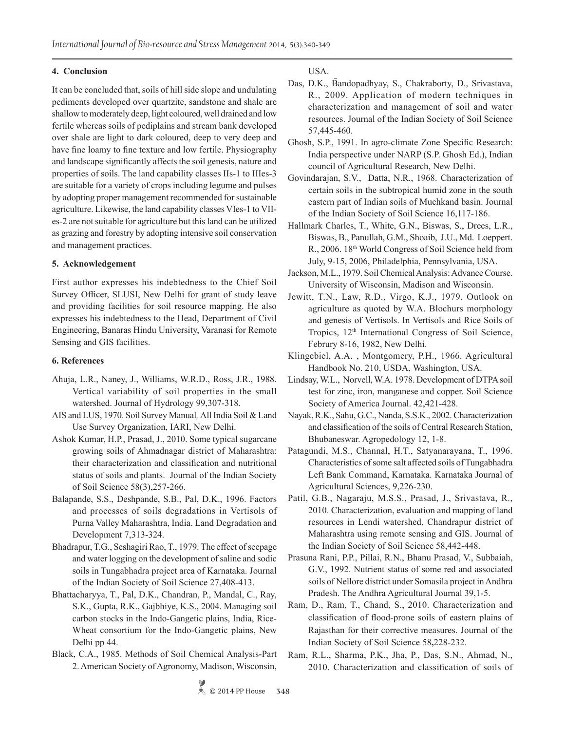## **4. Conclusion**

It can be concluded that, soils of hill side slope and undulating pediments developed over quartzite, sandstone and shale are shallow to moderately deep, light coloured, well drained and low fertile whereas soils of pediplains and stream bank developed over shale are light to dark coloured, deep to very deep and have fine loamy to fine texture and low fertile. Physiography and landscape significantly affects the soil genesis, nature and properties of soils. The land capability classes IIs-1 to IIIes-3 are suitable for a variety of crops including legume and pulses by adopting proper management recommended for sustainable agriculture. Likewise, the land capability classes VIes-1 to VIIes-2 are not suitable for agriculture but this land can be utilized as grazing and forestry by adopting intensive soil conservation and management practices.

# **5. Acknowledgement**

First author expresses his indebtedness to the Chief Soil Survey Officer, SLUSI, New Delhi for grant of study leave and providing facilities for soil resource mapping. He also expresses his indebtedness to the Head, Department of Civil Engineering, Banaras Hindu University, Varanasi for Remote Sensing and GIS facilities.

# **6. References**

- Ahuja, L.R., Naney, J., Williams, W.R.D., Ross, J.R., 1988. Vertical variability of soil properties in the small watershed. Journal of Hydrology 99,307-318.
- AIS and LUS, 1970. Soil Survey Manual*,* All India Soil & Land Use Survey Organization, IARI, New Delhi.
- Ashok Kumar, H.P., Prasad, J., 2010. Some typical sugarcane growing soils of Ahmadnagar district of Maharashtra: their characterization and classification and nutritional status of soils and plants. Journal of the Indian Society of Soil Science 58(3),257-266.
- Balapande, S.S., Deshpande, S.B., Pal, D.K., 1996. Factors and processes of soils degradations in Vertisols of Purna Valley Maharashtra, India. Land Degradation and Development 7,313-324.
- Bhadrapur, T.G., Seshagiri Rao, T., 1979. The effect of seepage and water logging on the development of saline and sodic soils in Tungabhadra project area of Karnataka. Journal of the Indian Society of Soil Science 27,408-413.
- Bhattacharyya, T., Pal, D.K., Chandran, P., Mandal, C., Ray, S.K., Gupta, R.K., Gajbhiye, K.S., 2004. Managing soil carbon stocks in the Indo-Gangetic plains, India, Rice-Wheat consortium for the Indo-Gangetic plains, New Delhi pp 44.
- Black, C.A., 1985. Methods of Soil Chemical Analysis-Part 2. American Society of Agronomy, Madison, Wisconsin,

USA.

- Das, D.K., Bandopadhyay, S., Chakraborty, D., Srivastava, R., 2009. Application of modern techniques in characterization and management of soil and water resources. Journal of the Indian Society of Soil Science 57,445-460.
- Ghosh, S.P., 1991. In agro-climate Zone Specific Research: India perspective under NARP (S.P. Ghosh Ed.), Indian council of Agricultural Research, New Delhi.
- Govindarajan, S.V., Datta, N.R., 1968. Characterization of certain soils in the subtropical humid zone in the south eastern part of Indian soils of Muchkand basin. Journal of the Indian Society of Soil Science 16,117-186.
- Hallmark Charles, T., White, G.N., Biswas, S., Drees, L.R., Biswas, B., Panullah, G.M., Shoaib, J.U., Md. Loeppert. R., 2006. 18th World Congress of Soil Science held from July, 9-15, 2006, Philadelphia, Pennsylvania, USA.
- Jackson, M.L., 1979. Soil Chemical Analysis: Advance Course. University of Wisconsin, Madison and Wisconsin.
- Jewitt, T.N., Law, R.D., Virgo, K.J., 1979. Outlook on agriculture as quoted by W.A. Blochurs morphology and genesis of Vertisols. In Vertisols and Rice Soils of Tropics, 12<sup>th</sup> International Congress of Soil Science, Februry 8-16, 1982, New Delhi.
- Klingebiel, A.A. , Montgomery, P.H., 1966. Agricultural Handbook No. 210, USDA, Washington, USA.
- Lindsay, W.L., Norvell, W.A. 1978. Development of DTPA soil test for zinc, iron, manganese and copper. Soil Science Society of America Journal. 42,421-428.
- Nayak, R.K., Sahu, G.C., Nanda, S.S.K., 2002. Characterization and classification of the soils of Central Research Station, Bhubaneswar. Agropedology 12, 1-8.
- Patagundi, M.S., Channal, H.T., Satyanarayana, T., 1996. Characteristics of some salt affected soils of Tungabhadra Left Bank Command, Karnataka. Karnataka Journal of Agricultural Sciences, 9,226-230.
- Patil, G.B., Nagaraju, M.S.S., Prasad, J., Srivastava, R., 2010. Characterization, evaluation and mapping of land resources in Lendi watershed, Chandrapur district of Maharashtra using remote sensing and GIS. Journal of the Indian Society of Soil Science 58,442-448.
- Prasuna Rani, P.P., Pillai, R.N., Bhanu Prasad, V., Subbaiah, G.V., 1992. Nutrient status of some red and associated soils of Nellore district under Somasila project in Andhra Pradesh. The Andhra Agricultural Journal 39,1-5.
- Ram, D., Ram, T., Chand, S., 2010. Characterization and classification of flood-prone soils of eastern plains of Rajasthan for their corrective measures. Journal of the Indian Society of Soil Science 58**,**228-232.
- Ram, R.L., Sharma, P.K., Jha, P., Das, S.N., Ahmad, N., 2010. Characterization and classification of soils of